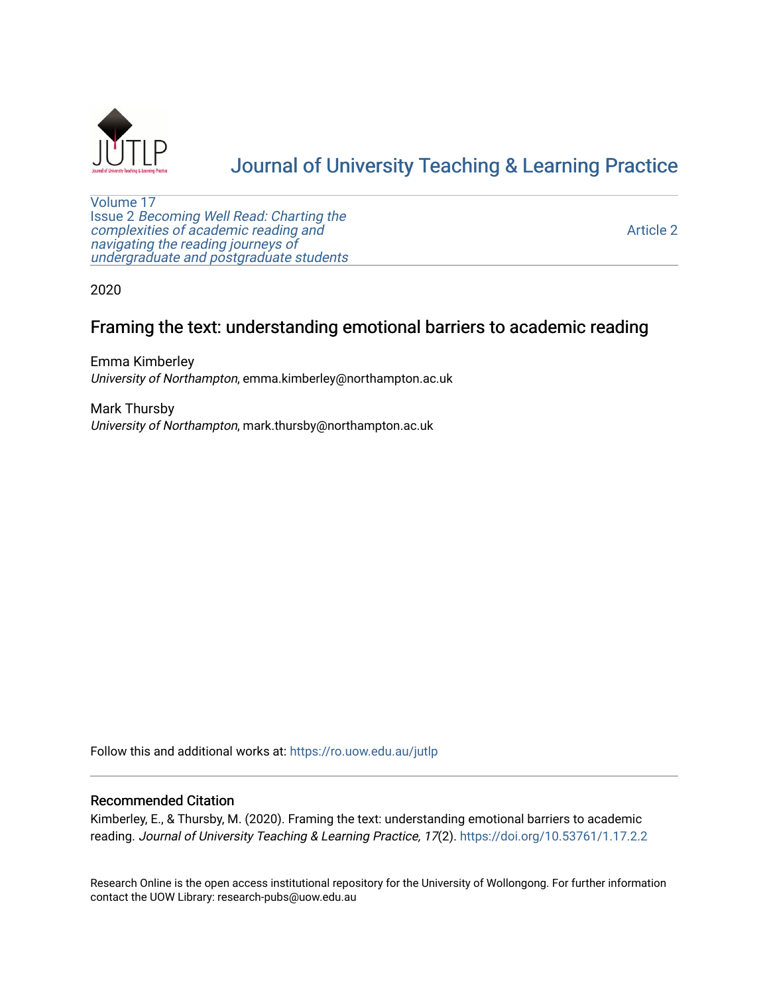

# [Journal of University Teaching & Learning Practice](https://ro.uow.edu.au/jutlp)

[Volume 17](https://ro.uow.edu.au/jutlp/vol17) Issue 2 [Becoming Well Read: Charting the](https://ro.uow.edu.au/jutlp/vol17/iss2) [complexities of academic reading and](https://ro.uow.edu.au/jutlp/vol17/iss2)  [navigating the reading journeys of](https://ro.uow.edu.au/jutlp/vol17/iss2) [undergraduate and postgraduate students](https://ro.uow.edu.au/jutlp/vol17/iss2)

[Article 2](https://ro.uow.edu.au/jutlp/vol17/iss2/2) 

2020

## Framing the text: understanding emotional barriers to academic reading

Emma Kimberley University of Northampton, emma.kimberley@northampton.ac.uk

Mark Thursby University of Northampton, mark.thursby@northampton.ac.uk

Follow this and additional works at: [https://ro.uow.edu.au/jutlp](https://ro.uow.edu.au/jutlp?utm_source=ro.uow.edu.au%2Fjutlp%2Fvol17%2Fiss2%2F2&utm_medium=PDF&utm_campaign=PDFCoverPages) 

#### Recommended Citation

Kimberley, E., & Thursby, M. (2020). Framing the text: understanding emotional barriers to academic reading. Journal of University Teaching & Learning Practice, 17(2).<https://doi.org/10.53761/1.17.2.2>

Research Online is the open access institutional repository for the University of Wollongong. For further information contact the UOW Library: research-pubs@uow.edu.au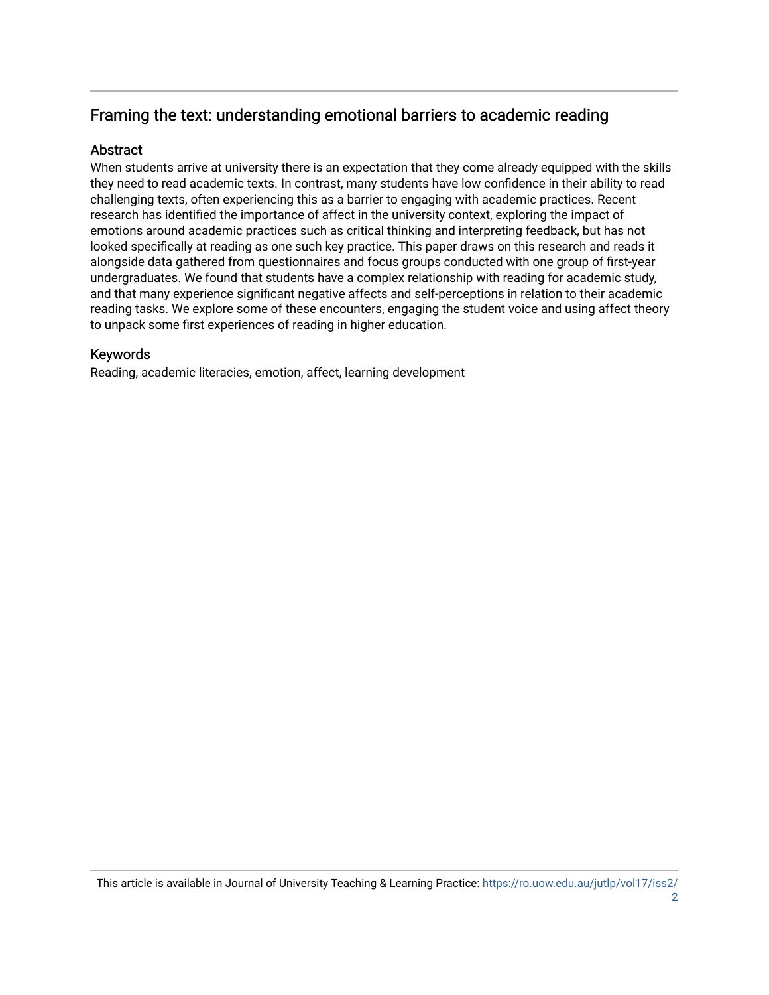## Framing the text: understanding emotional barriers to academic reading

### **Abstract**

When students arrive at university there is an expectation that they come already equipped with the skills they need to read academic texts. In contrast, many students have low confidence in their ability to read challenging texts, often experiencing this as a barrier to engaging with academic practices. Recent research has identified the importance of affect in the university context, exploring the impact of emotions around academic practices such as critical thinking and interpreting feedback, but has not looked specifically at reading as one such key practice. This paper draws on this research and reads it alongside data gathered from questionnaires and focus groups conducted with one group of first-year undergraduates. We found that students have a complex relationship with reading for academic study, and that many experience significant negative affects and self-perceptions in relation to their academic reading tasks. We explore some of these encounters, engaging the student voice and using affect theory to unpack some first experiences of reading in higher education.

### Keywords

Reading, academic literacies, emotion, affect, learning development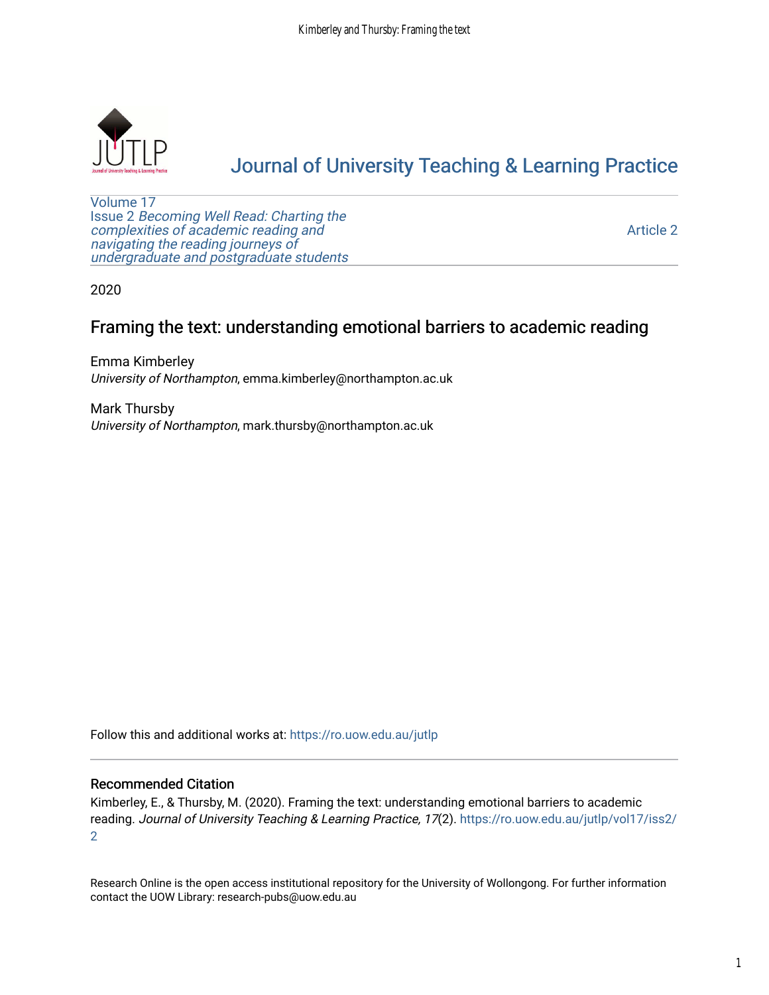

# [Journal of University Teaching & Learning Practice](https://ro.uow.edu.au/jutlp)

[Volume 17](https://ro.uow.edu.au/jutlp/vol17) Issue 2 [Becoming Well Read: Charting the](https://ro.uow.edu.au/jutlp/vol17/iss2) [complexities of academic reading and](https://ro.uow.edu.au/jutlp/vol17/iss2)  [navigating the reading journeys of](https://ro.uow.edu.au/jutlp/vol17/iss2) [undergraduate and postgraduate students](https://ro.uow.edu.au/jutlp/vol17/iss2)

[Article 2](https://ro.uow.edu.au/jutlp/vol17/iss2/2) 

2020

## Framing the text: understanding emotional barriers to academic reading

Emma Kimberley University of Northampton, emma.kimberley@northampton.ac.uk

Mark Thursby University of Northampton, mark.thursby@northampton.ac.uk

Follow this and additional works at: [https://ro.uow.edu.au/jutlp](https://ro.uow.edu.au/jutlp?utm_source=ro.uow.edu.au%2Fjutlp%2Fvol17%2Fiss2%2F2&utm_medium=PDF&utm_campaign=PDFCoverPages) 

#### Recommended Citation

Kimberley, E., & Thursby, M. (2020). Framing the text: understanding emotional barriers to academic reading. Journal of University Teaching & Learning Practice, 17(2). [https://ro.uow.edu.au/jutlp/vol17/iss2/](https://ro.uow.edu.au/jutlp/vol17/iss2/2?utm_source=ro.uow.edu.au%2Fjutlp%2Fvol17%2Fiss2%2F2&utm_medium=PDF&utm_campaign=PDFCoverPages) [2](https://ro.uow.edu.au/jutlp/vol17/iss2/2?utm_source=ro.uow.edu.au%2Fjutlp%2Fvol17%2Fiss2%2F2&utm_medium=PDF&utm_campaign=PDFCoverPages) 

Research Online is the open access institutional repository for the University of Wollongong. For further information contact the UOW Library: research-pubs@uow.edu.au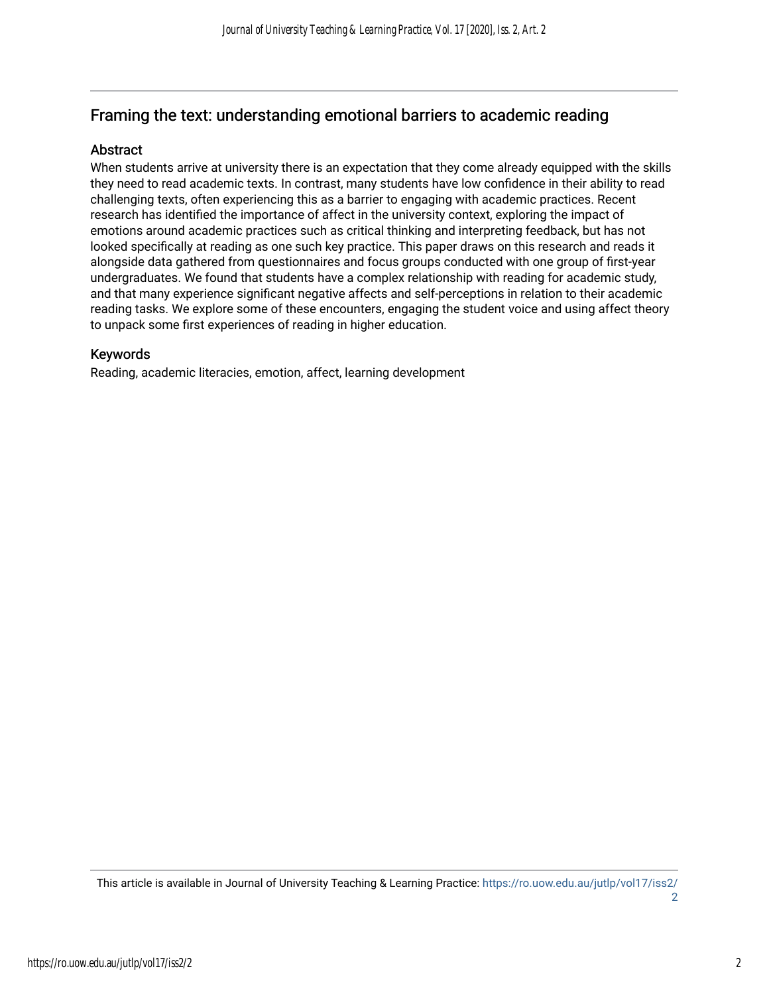## Framing the text: understanding emotional barriers to academic reading

### **Abstract**

When students arrive at university there is an expectation that they come already equipped with the skills they need to read academic texts. In contrast, many students have low confidence in their ability to read challenging texts, often experiencing this as a barrier to engaging with academic practices. Recent research has identified the importance of affect in the university context, exploring the impact of emotions around academic practices such as critical thinking and interpreting feedback, but has not looked specifically at reading as one such key practice. This paper draws on this research and reads it alongside data gathered from questionnaires and focus groups conducted with one group of first-year undergraduates. We found that students have a complex relationship with reading for academic study, and that many experience significant negative affects and self-perceptions in relation to their academic reading tasks. We explore some of these encounters, engaging the student voice and using affect theory to unpack some first experiences of reading in higher education.

#### Keywords

Reading, academic literacies, emotion, affect, learning development

This article is available in Journal of University Teaching & Learning Practice: [https://ro.uow.edu.au/jutlp/vol17/iss2/](https://ro.uow.edu.au/jutlp/vol17/iss2/2) [2](https://ro.uow.edu.au/jutlp/vol17/iss2/2)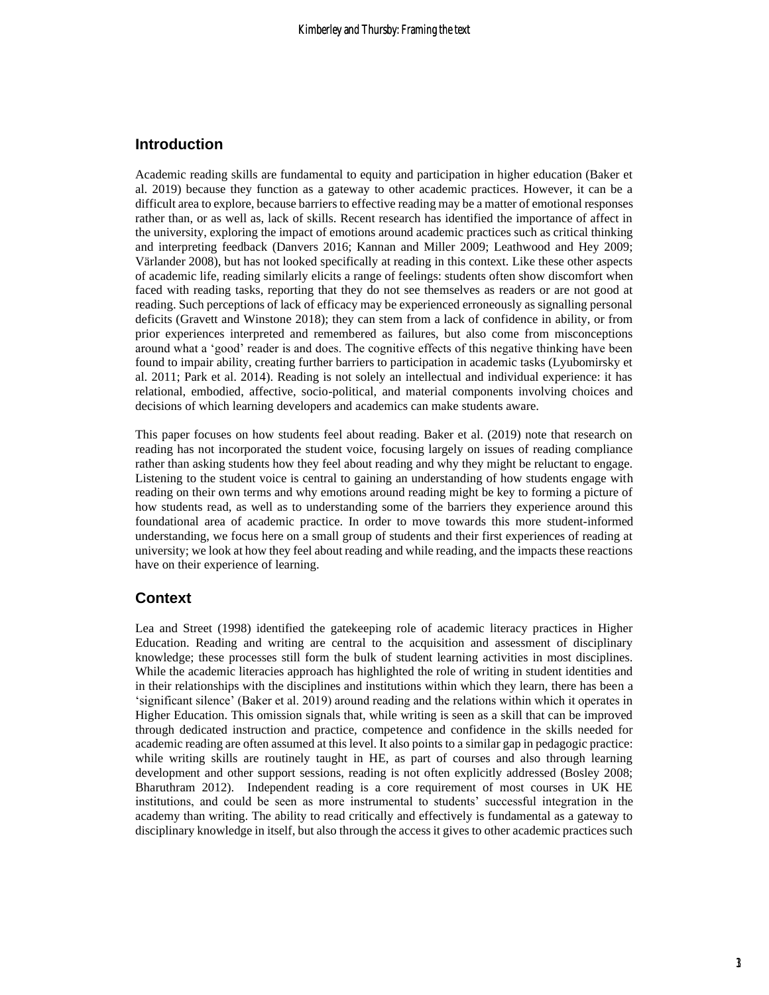### **Introduction**

Academic reading skills are fundamental to equity and participation in higher education (Baker et al. 2019) because they function as a gateway to other academic practices. However, it can be a difficult area to explore, because barriers to effective reading may be a matter of emotional responses rather than, or as well as, lack of skills. Recent research has identified the importance of affect in the university, exploring the impact of emotions around academic practices such as critical thinking and interpreting feedback (Danvers 2016; Kannan and Miller 2009; Leathwood and Hey 2009; Värlander 2008), but has not looked specifically at reading in this context. Like these other aspects of academic life, reading similarly elicits a range of feelings: students often show discomfort when faced with reading tasks, reporting that they do not see themselves as readers or are not good at reading. Such perceptions of lack of efficacy may be experienced erroneously as signalling personal deficits (Gravett and Winstone 2018); they can stem from a lack of confidence in ability, or from prior experiences interpreted and remembered as failures, but also come from misconceptions around what a 'good' reader is and does. The cognitive effects of this negative thinking have been found to impair ability, creating further barriers to participation in academic tasks (Lyubomirsky et al. 2011; Park et al. 2014). Reading is not solely an intellectual and individual experience: it has relational, embodied, affective, socio-political, and material components involving choices and decisions of which learning developers and academics can make students aware.

This paper focuses on how students feel about reading. Baker et al. (2019) note that research on reading has not incorporated the student voice, focusing largely on issues of reading compliance rather than asking students how they feel about reading and why they might be reluctant to engage. Listening to the student voice is central to gaining an understanding of how students engage with reading on their own terms and why emotions around reading might be key to forming a picture of how students read, as well as to understanding some of the barriers they experience around this foundational area of academic practice. In order to move towards this more student-informed understanding, we focus here on a small group of students and their first experiences of reading at university; we look at how they feel about reading and while reading, and the impacts these reactions have on their experience of learning.

#### **Context**

Lea and Street (1998) identified the gatekeeping role of academic literacy practices in Higher Education. Reading and writing are central to the acquisition and assessment of disciplinary knowledge; these processes still form the bulk of student learning activities in most disciplines. While the academic literacies approach has highlighted the role of writing in student identities and in their relationships with the disciplines and institutions within which they learn, there has been a 'significant silence' (Baker et al. 2019) around reading and the relations within which it operates in Higher Education. This omission signals that, while writing is seen as a skill that can be improved through dedicated instruction and practice, competence and confidence in the skills needed for academic reading are often assumed at this level. It also points to a similar gap in pedagogic practice: while writing skills are routinely taught in HE, as part of courses and also through learning development and other support sessions, reading is not often explicitly addressed (Bosley 2008; Bharuthram 2012). Independent reading is a core requirement of most courses in UK HE institutions, and could be seen as more instrumental to students' successful integration in the academy than writing. The ability to read critically and effectively is fundamental as a gateway to disciplinary knowledge in itself, but also through the access it gives to other academic practices such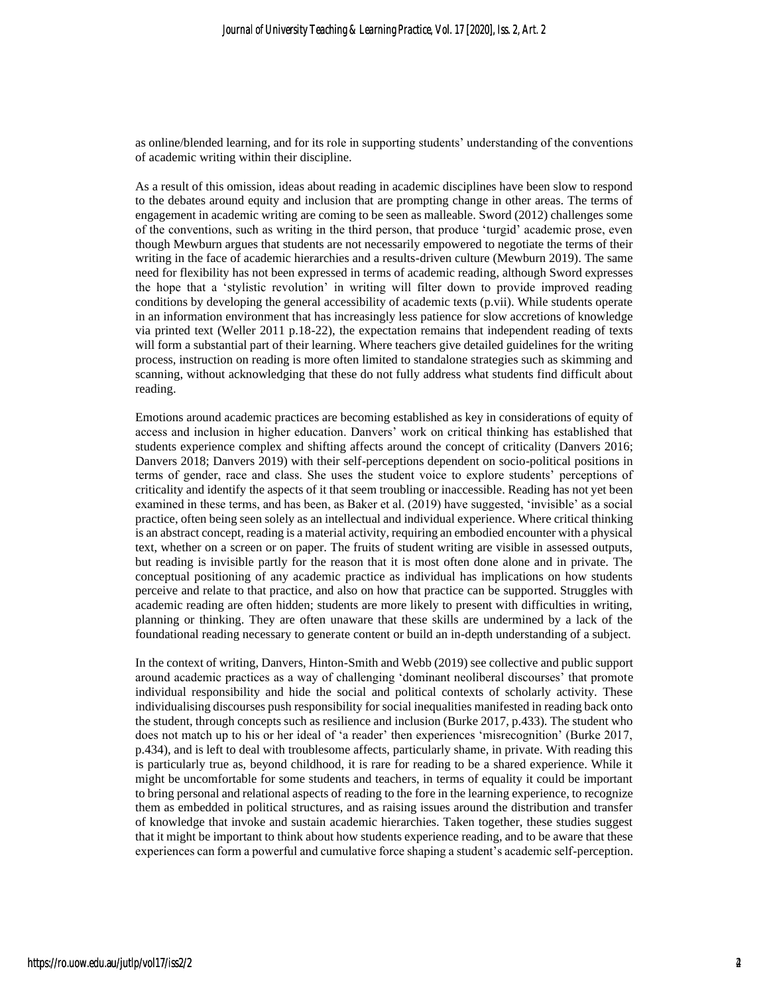as online/blended learning, and for its role in supporting students' understanding of the conventions of academic writing within their discipline.

As a result of this omission, ideas about reading in academic disciplines have been slow to respond to the debates around equity and inclusion that are prompting change in other areas. The terms of engagement in academic writing are coming to be seen as malleable. Sword (2012) challenges some of the conventions, such as writing in the third person, that produce 'turgid' academic prose, even though Mewburn argues that students are not necessarily empowered to negotiate the terms of their writing in the face of academic hierarchies and a results-driven culture (Mewburn 2019). The same need for flexibility has not been expressed in terms of academic reading, although Sword expresses the hope that a 'stylistic revolution' in writing will filter down to provide improved reading conditions by developing the general accessibility of academic texts (p.vii). While students operate in an information environment that has increasingly less patience for slow accretions of knowledge via printed text (Weller 2011 p.18-22), the expectation remains that independent reading of texts will form a substantial part of their learning. Where teachers give detailed guidelines for the writing process, instruction on reading is more often limited to standalone strategies such as skimming and scanning, without acknowledging that these do not fully address what students find difficult about reading.

Emotions around academic practices are becoming established as key in considerations of equity of access and inclusion in higher education. Danvers' work on critical thinking has established that students experience complex and shifting affects around the concept of criticality (Danvers 2016; Danvers 2018; Danvers 2019) with their self-perceptions dependent on socio-political positions in terms of gender, race and class. She uses the student voice to explore students' perceptions of criticality and identify the aspects of it that seem troubling or inaccessible. Reading has not yet been examined in these terms, and has been, as Baker et al. (2019) have suggested, 'invisible' as a social practice, often being seen solely as an intellectual and individual experience. Where critical thinking is an abstract concept, reading is a material activity, requiring an embodied encounter with a physical text, whether on a screen or on paper. The fruits of student writing are visible in assessed outputs, but reading is invisible partly for the reason that it is most often done alone and in private. The conceptual positioning of any academic practice as individual has implications on how students perceive and relate to that practice, and also on how that practice can be supported. Struggles with academic reading are often hidden; students are more likely to present with difficulties in writing, planning or thinking. They are often unaware that these skills are undermined by a lack of the foundational reading necessary to generate content or build an in-depth understanding of a subject.

In the context of writing, Danvers, Hinton-Smith and Webb (2019) see collective and public support around academic practices as a way of challenging 'dominant neoliberal discourses' that promote individual responsibility and hide the social and political contexts of scholarly activity. These individualising discourses push responsibility for social inequalities manifested in reading back onto the student, through concepts such as resilience and inclusion (Burke 2017, p.433). The student who does not match up to his or her ideal of 'a reader' then experiences 'misrecognition' (Burke 2017, p.434), and is left to deal with troublesome affects, particularly shame, in private. With reading this is particularly true as, beyond childhood, it is rare for reading to be a shared experience. While it might be uncomfortable for some students and teachers, in terms of equality it could be important to bring personal and relational aspects of reading to the fore in the learning experience, to recognize them as embedded in political structures, and as raising issues around the distribution and transfer of knowledge that invoke and sustain academic hierarchies. Taken together, these studies suggest that it might be important to think about how students experience reading, and to be aware that these experiences can form a powerful and cumulative force shaping a student's academic self-perception.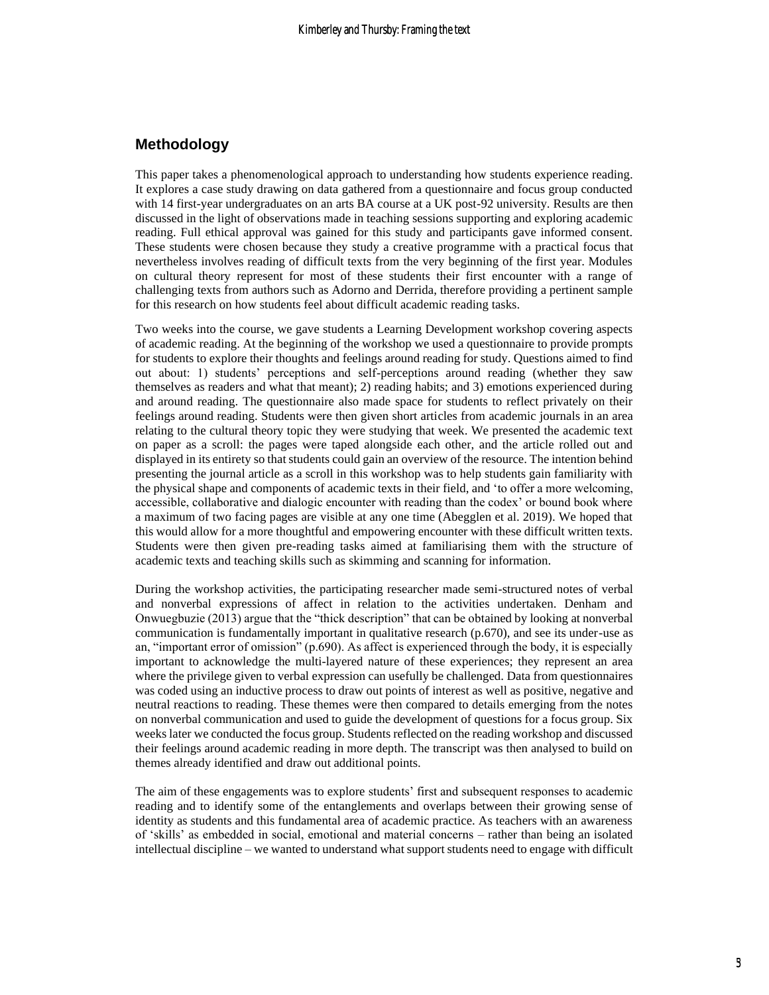#### **Methodology**

This paper takes a phenomenological approach to understanding how students experience reading. It explores a case study drawing on data gathered from a questionnaire and focus group conducted with 14 first-year undergraduates on an arts BA course at a UK post-92 university. Results are then discussed in the light of observations made in teaching sessions supporting and exploring academic reading. Full ethical approval was gained for this study and participants gave informed consent. These students were chosen because they study a creative programme with a practical focus that nevertheless involves reading of difficult texts from the very beginning of the first year. Modules on cultural theory represent for most of these students their first encounter with a range of challenging texts from authors such as Adorno and Derrida, therefore providing a pertinent sample for this research on how students feel about difficult academic reading tasks.

Two weeks into the course, we gave students a Learning Development workshop covering aspects of academic reading. At the beginning of the workshop we used a questionnaire to provide prompts for students to explore their thoughts and feelings around reading for study. Questions aimed to find out about: 1) students' perceptions and self-perceptions around reading (whether they saw themselves as readers and what that meant); 2) reading habits; and 3) emotions experienced during and around reading. The questionnaire also made space for students to reflect privately on their feelings around reading. Students were then given short articles from academic journals in an area relating to the cultural theory topic they were studying that week. We presented the academic text on paper as a scroll: the pages were taped alongside each other, and the article rolled out and displayed in its entirety so that students could gain an overview of the resource. The intention behind presenting the journal article as a scroll in this workshop was to help students gain familiarity with the physical shape and components of academic texts in their field, and 'to offer a more welcoming, accessible, collaborative and dialogic encounter with reading than the codex' or bound book where a maximum of two facing pages are visible at any one time (Abegglen et al. 2019). We hoped that this would allow for a more thoughtful and empowering encounter with these difficult written texts. Students were then given pre-reading tasks aimed at familiarising them with the structure of academic texts and teaching skills such as skimming and scanning for information.

During the workshop activities, the participating researcher made semi-structured notes of verbal and nonverbal expressions of affect in relation to the activities undertaken. Denham and Onwuegbuzie (2013) argue that the "thick description" that can be obtained by looking at nonverbal communication is fundamentally important in qualitative research (p.670), and see its under-use as an, "important error of omission" (p.690). As affect is experienced through the body, it is especially important to acknowledge the multi-layered nature of these experiences; they represent an area where the privilege given to verbal expression can usefully be challenged. Data from questionnaires was coded using an inductive process to draw out points of interest as well as positive, negative and neutral reactions to reading. These themes were then compared to details emerging from the notes on nonverbal communication and used to guide the development of questions for a focus group. Six weeks later we conducted the focus group. Students reflected on the reading workshop and discussed their feelings around academic reading in more depth. The transcript was then analysed to build on themes already identified and draw out additional points.

The aim of these engagements was to explore students' first and subsequent responses to academic reading and to identify some of the entanglements and overlaps between their growing sense of identity as students and this fundamental area of academic practice. As teachers with an awareness of 'skills' as embedded in social, emotional and material concerns – rather than being an isolated intellectual discipline – we wanted to understand what support students need to engage with difficult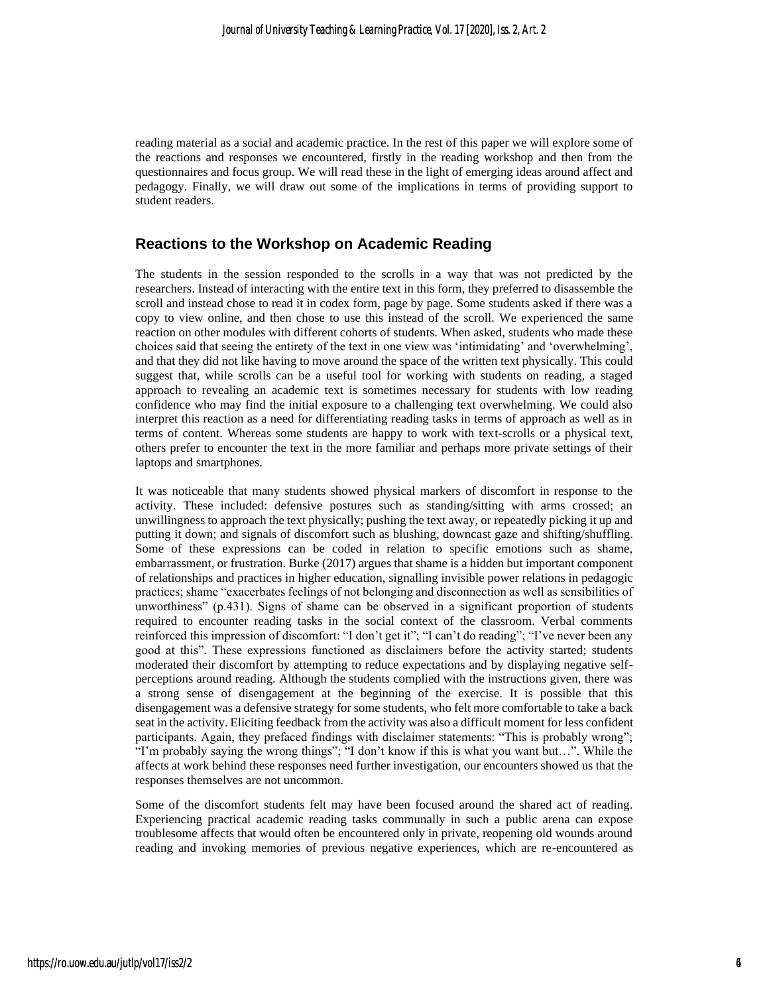reading material as a social and academic practice. In the rest of this paper we will explore some of the reactions and responses we encountered, firstly in the reading workshop and then from the questionnaires and focus group. We will read these in the light of emerging ideas around affect and pedagogy. Finally, we will draw out some of the implications in terms of providing support to student readers.

#### **Reactions to the Workshop on Academic Reading**

The students in the session responded to the scrolls in a way that was not predicted by the researchers. Instead of interacting with the entire text in this form, they preferred to disassemble the scroll and instead chose to read it in codex form, page by page. Some students asked if there was a copy to view online, and then chose to use this instead of the scroll. We experienced the same reaction on other modules with different cohorts of students. When asked, students who made these choices said that seeing the entirety of the text in one view was 'intimidating' and 'overwhelming', and that they did not like having to move around the space of the written text physically. This could suggest that, while scrolls can be a useful tool for working with students on reading, a staged approach to revealing an academic text is sometimes necessary for students with low reading confidence who may find the initial exposure to a challenging text overwhelming. We could also interpret this reaction as a need for differentiating reading tasks in terms of approach as well as in terms of content. Whereas some students are happy to work with text-scrolls or a physical text, others prefer to encounter the text in the more familiar and perhaps more private settings of their laptops and smartphones.

It was noticeable that many students showed physical markers of discomfort in response to the activity. These included: defensive postures such as standing/sitting with arms crossed; an unwillingness to approach the text physically; pushing the text away, or repeatedly picking it up and putting it down; and signals of discomfort such as blushing, downcast gaze and shifting/shuffling. Some of these expressions can be coded in relation to specific emotions such as shame, embarrassment, or frustration. Burke (2017) argues that shame is a hidden but important component of relationships and practices in higher education, signalling invisible power relations in pedagogic practices; shame "exacerbates feelings of not belonging and disconnection as well as sensibilities of unworthiness" (p.431). Signs of shame can be observed in a significant proportion of students required to encounter reading tasks in the social context of the classroom. Verbal comments reinforced this impression of discomfort: "I don't get it"; "I can't do reading"; "I've never been any good at this". These expressions functioned as disclaimers before the activity started; students moderated their discomfort by attempting to reduce expectations and by displaying negative selfperceptions around reading. Although the students complied with the instructions given, there was a strong sense of disengagement at the beginning of the exercise. It is possible that this disengagement was a defensive strategy for some students, who felt more comfortable to take a back seat in the activity. Eliciting feedback from the activity was also a difficult moment for less confident participants. Again, they prefaced findings with disclaimer statements: "This is probably wrong"; "I'm probably saying the wrong things"; "I don't know if this is what you want but…". While the affects at work behind these responses need further investigation, our encounters showed us that the responses themselves are not uncommon.

Some of the discomfort students felt may have been focused around the shared act of reading. Experiencing practical academic reading tasks communally in such a public arena can expose troublesome affects that would often be encountered only in private, reopening old wounds around reading and invoking memories of previous negative experiences, which are re-encountered as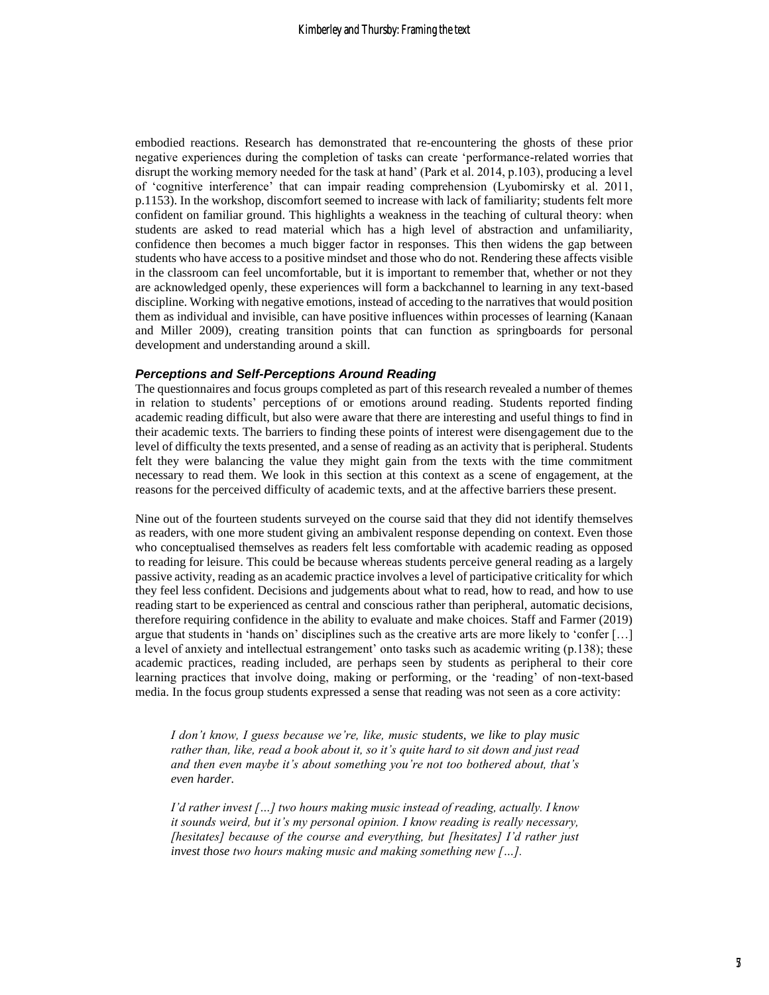embodied reactions. Research has demonstrated that re-encountering the ghosts of these prior negative experiences during the completion of tasks can create 'performance-related worries that disrupt the working memory needed for the task at hand' (Park et al. 2014, p.103), producing a level of 'cognitive interference' that can impair reading comprehension (Lyubomirsky et al. 2011, p.1153). In the workshop, discomfort seemed to increase with lack of familiarity; students felt more confident on familiar ground. This highlights a weakness in the teaching of cultural theory: when students are asked to read material which has a high level of abstraction and unfamiliarity, confidence then becomes a much bigger factor in responses. This then widens the gap between students who have access to a positive mindset and those who do not. Rendering these affects visible in the classroom can feel uncomfortable, but it is important to remember that, whether or not they are acknowledged openly, these experiences will form a backchannel to learning in any text-based discipline. Working with negative emotions, instead of acceding to the narratives that would position them as individual and invisible, can have positive influences within processes of learning (Kanaan and Miller 2009), creating transition points that can function as springboards for personal development and understanding around a skill.

#### *Perceptions and Self-Perceptions Around Reading*

The questionnaires and focus groups completed as part of this research revealed a number of themes in relation to students' perceptions of or emotions around reading. Students reported finding academic reading difficult, but also were aware that there are interesting and useful things to find in their academic texts. The barriers to finding these points of interest were disengagement due to the level of difficulty the texts presented, and a sense of reading as an activity that is peripheral. Students felt they were balancing the value they might gain from the texts with the time commitment necessary to read them. We look in this section at this context as a scene of engagement, at the reasons for the perceived difficulty of academic texts, and at the affective barriers these present.

Nine out of the fourteen students surveyed on the course said that they did not identify themselves as readers, with one more student giving an ambivalent response depending on context. Even those who conceptualised themselves as readers felt less comfortable with academic reading as opposed to reading for leisure. This could be because whereas students perceive general reading as a largely passive activity, reading as an academic practice involves a level of participative criticality for which they feel less confident. Decisions and judgements about what to read, how to read, and how to use reading start to be experienced as central and conscious rather than peripheral, automatic decisions, therefore requiring confidence in the ability to evaluate and make choices. Staff and Farmer (2019) argue that students in 'hands on' disciplines such as the creative arts are more likely to 'confer […] a level of anxiety and intellectual estrangement' onto tasks such as academic writing (p.138); these academic practices, reading included, are perhaps seen by students as peripheral to their core learning practices that involve doing, making or performing, or the 'reading' of non-text-based media. In the focus group students expressed a sense that reading was not seen as a core activity:

*I don't know, I guess because we're, like, music students, we like to play music rather than, like, read a book about it, so it's quite hard to sit down and just read and then even maybe it's about something you're not too bothered about, that's even harder.*

*I'd rather invest […] two hours making music instead of reading, actually. I know it sounds weird, but it's my personal opinion. I know reading is really necessary, [hesitates] because of the course and everything, but [hesitates] I'd rather just invest those two hours making music and making something new […].*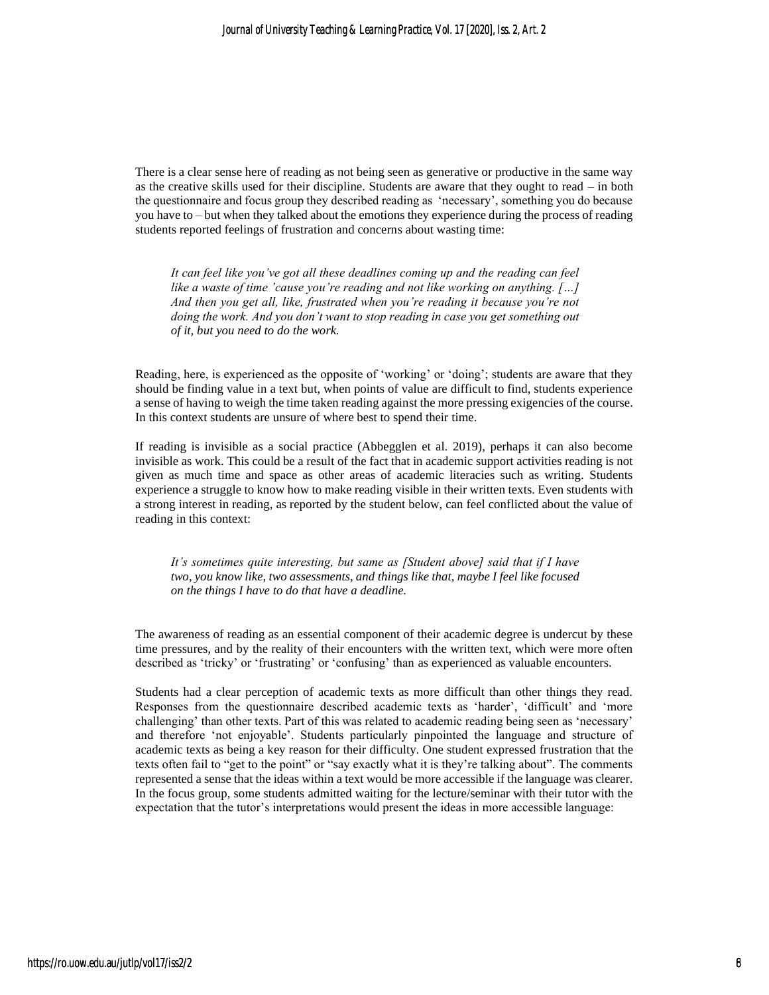There is a clear sense here of reading as not being seen as generative or productive in the same way as the creative skills used for their discipline. Students are aware that they ought to read – in both the questionnaire and focus group they described reading as 'necessary', something you do because you have to – but when they talked about the emotions they experience during the process of reading students reported feelings of frustration and concerns about wasting time:

*It can feel like you've got all these deadlines coming up and the reading can feel like a waste of time 'cause you're reading and not like working on anything. […] And then you get all, like, frustrated when you're reading it because you're not doing the work. And you don't want to stop reading in case you get something out of it, but you need to do the work.*

Reading, here, is experienced as the opposite of 'working' or 'doing'; students are aware that they should be finding value in a text but, when points of value are difficult to find, students experience a sense of having to weigh the time taken reading against the more pressing exigencies of the course. In this context students are unsure of where best to spend their time.

If reading is invisible as a social practice (Abbegglen et al. 2019), perhaps it can also become invisible as work. This could be a result of the fact that in academic support activities reading is not given as much time and space as other areas of academic literacies such as writing. Students experience a struggle to know how to make reading visible in their written texts. Even students with a strong interest in reading, as reported by the student below, can feel conflicted about the value of reading in this context:

*It's sometimes quite interesting, but same as [Student above] said that if I have two, you know like, two assessments, and things like that, maybe I feel like focused on the things I have to do that have a deadline.*

The awareness of reading as an essential component of their academic degree is undercut by these time pressures, and by the reality of their encounters with the written text, which were more often described as 'tricky' or 'frustrating' or 'confusing' than as experienced as valuable encounters.

Students had a clear perception of academic texts as more difficult than other things they read. Responses from the questionnaire described academic texts as 'harder', 'difficult' and 'more challenging' than other texts. Part of this was related to academic reading being seen as 'necessary' and therefore 'not enjoyable'. Students particularly pinpointed the language and structure of academic texts as being a key reason for their difficulty. One student expressed frustration that the texts often fail to "get to the point" or "say exactly what it is they're talking about". The comments represented a sense that the ideas within a text would be more accessible if the language was clearer. In the focus group, some students admitted waiting for the lecture/seminar with their tutor with the expectation that the tutor's interpretations would present the ideas in more accessible language: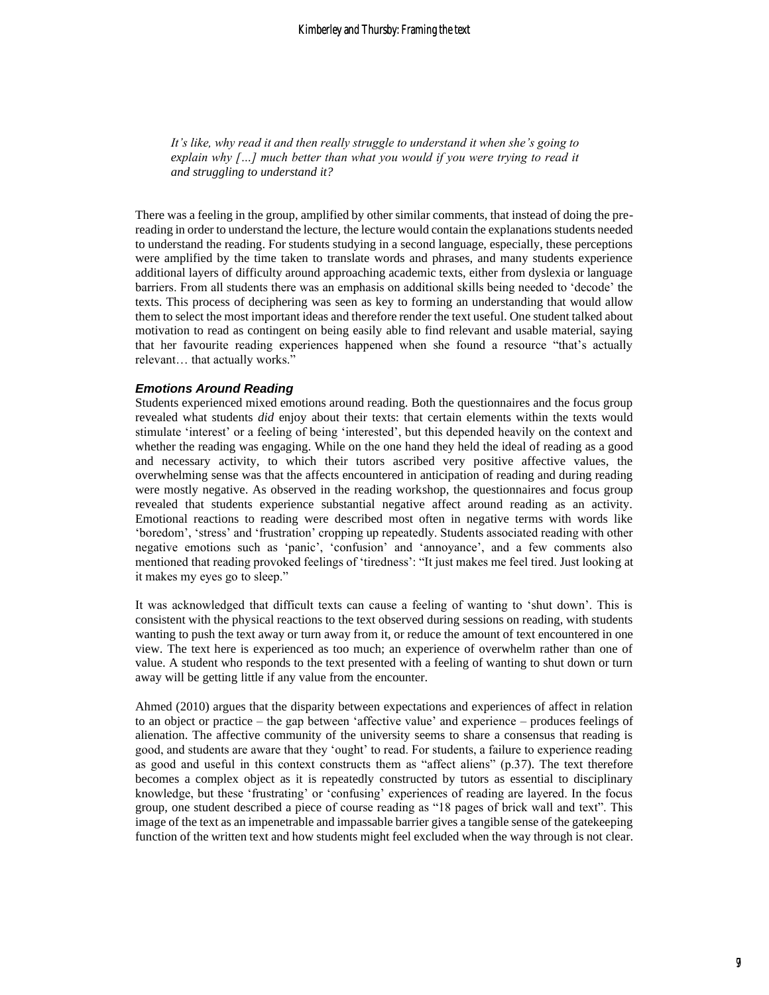*It's like, why read it and then really struggle to understand it when she's going to explain why […] much better than what you would if you were trying to read it and struggling to understand it?*

There was a feeling in the group, amplified by other similar comments, that instead of doing the prereading in order to understand the lecture, the lecture would contain the explanations students needed to understand the reading. For students studying in a second language, especially, these perceptions were amplified by the time taken to translate words and phrases, and many students experience additional layers of difficulty around approaching academic texts, either from dyslexia or language barriers. From all students there was an emphasis on additional skills being needed to 'decode' the texts. This process of deciphering was seen as key to forming an understanding that would allow them to select the most important ideas and therefore render the text useful. One student talked about motivation to read as contingent on being easily able to find relevant and usable material, saying that her favourite reading experiences happened when she found a resource "that's actually relevant… that actually works."

#### *Emotions Around Reading*

Students experienced mixed emotions around reading. Both the questionnaires and the focus group revealed what students *did* enjoy about their texts: that certain elements within the texts would stimulate 'interest' or a feeling of being 'interested', but this depended heavily on the context and whether the reading was engaging. While on the one hand they held the ideal of reading as a good and necessary activity, to which their tutors ascribed very positive affective values, the overwhelming sense was that the affects encountered in anticipation of reading and during reading were mostly negative. As observed in the reading workshop, the questionnaires and focus group revealed that students experience substantial negative affect around reading as an activity. Emotional reactions to reading were described most often in negative terms with words like 'boredom', 'stress' and 'frustration' cropping up repeatedly. Students associated reading with other negative emotions such as 'panic', 'confusion' and 'annoyance', and a few comments also mentioned that reading provoked feelings of 'tiredness': "It just makes me feel tired. Just looking at it makes my eyes go to sleep."

It was acknowledged that difficult texts can cause a feeling of wanting to 'shut down'. This is consistent with the physical reactions to the text observed during sessions on reading, with students wanting to push the text away or turn away from it, or reduce the amount of text encountered in one view. The text here is experienced as too much; an experience of overwhelm rather than one of value. A student who responds to the text presented with a feeling of wanting to shut down or turn away will be getting little if any value from the encounter.

Ahmed (2010) argues that the disparity between expectations and experiences of affect in relation to an object or practice – the gap between 'affective value' and experience – produces feelings of alienation. The affective community of the university seems to share a consensus that reading is good, and students are aware that they 'ought' to read. For students, a failure to experience reading as good and useful in this context constructs them as "affect aliens"  $(p.37)$ . The text therefore becomes a complex object as it is repeatedly constructed by tutors as essential to disciplinary knowledge, but these 'frustrating' or 'confusing' experiences of reading are layered. In the focus group, one student described a piece of course reading as "18 pages of brick wall and text". This image of the text as an impenetrable and impassable barrier gives a tangible sense of the gatekeeping function of the written text and how students might feel excluded when the way through is not clear.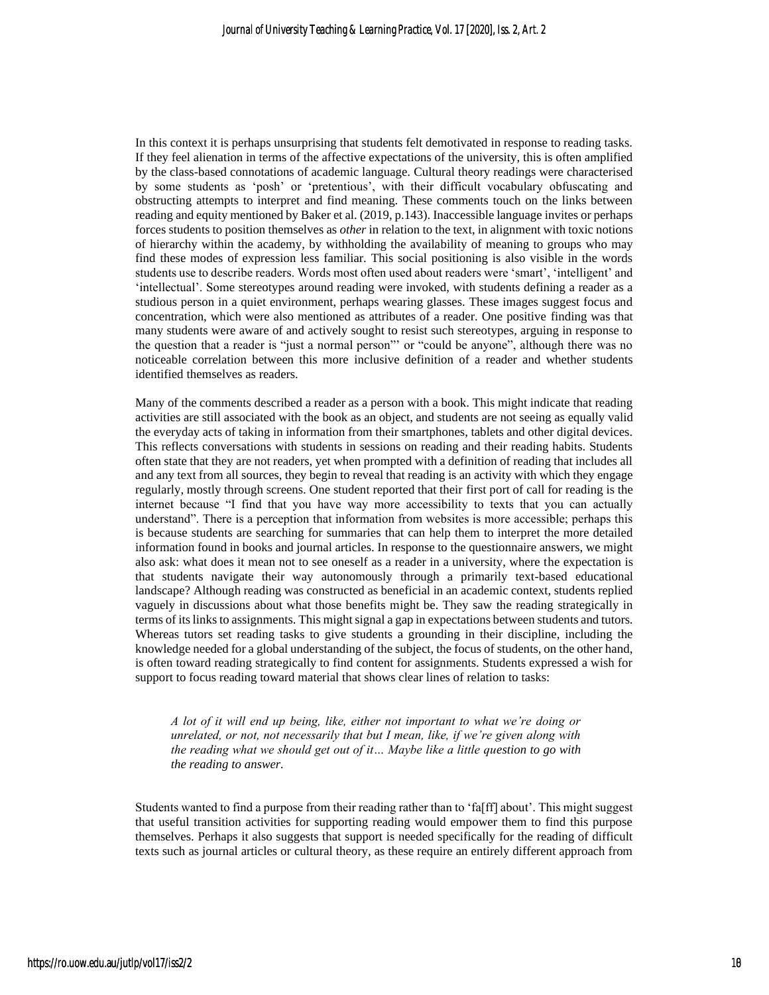In this context it is perhaps unsurprising that students felt demotivated in response to reading tasks. If they feel alienation in terms of the affective expectations of the university, this is often amplified by the class-based connotations of academic language. Cultural theory readings were characterised by some students as 'posh' or 'pretentious', with their difficult vocabulary obfuscating and obstructing attempts to interpret and find meaning. These comments touch on the links between reading and equity mentioned by Baker et al. (2019, p.143). Inaccessible language invites or perhaps forces students to position themselves as *other* in relation to the text, in alignment with toxic notions of hierarchy within the academy, by withholding the availability of meaning to groups who may find these modes of expression less familiar. This social positioning is also visible in the words students use to describe readers. Words most often used about readers were 'smart', 'intelligent' and 'intellectual'. Some stereotypes around reading were invoked, with students defining a reader as a studious person in a quiet environment, perhaps wearing glasses. These images suggest focus and concentration, which were also mentioned as attributes of a reader. One positive finding was that many students were aware of and actively sought to resist such stereotypes, arguing in response to the question that a reader is "just a normal person"' or "could be anyone", although there was no noticeable correlation between this more inclusive definition of a reader and whether students identified themselves as readers.

Many of the comments described a reader as a person with a book. This might indicate that reading activities are still associated with the book as an object, and students are not seeing as equally valid the everyday acts of taking in information from their smartphones, tablets and other digital devices. This reflects conversations with students in sessions on reading and their reading habits. Students often state that they are not readers, yet when prompted with a definition of reading that includes all and any text from all sources, they begin to reveal that reading is an activity with which they engage regularly, mostly through screens. One student reported that their first port of call for reading is the internet because "I find that you have way more accessibility to texts that you can actually understand". There is a perception that information from websites is more accessible; perhaps this is because students are searching for summaries that can help them to interpret the more detailed information found in books and journal articles. In response to the questionnaire answers, we might also ask: what does it mean not to see oneself as a reader in a university, where the expectation is that students navigate their way autonomously through a primarily text-based educational landscape? Although reading was constructed as beneficial in an academic context, students replied vaguely in discussions about what those benefits might be. They saw the reading strategically in terms of its links to assignments. This might signal a gap in expectations between students and tutors. Whereas tutors set reading tasks to give students a grounding in their discipline, including the knowledge needed for a global understanding of the subject, the focus of students, on the other hand, is often toward reading strategically to find content for assignments. Students expressed a wish for support to focus reading toward material that shows clear lines of relation to tasks:

*A lot of it will end up being, like, either not important to what we're doing or unrelated, or not, not necessarily that but I mean, like, if we're given along with the reading what we should get out of it… Maybe like a little question to go with the reading to answer.*

Students wanted to find a purpose from their reading rather than to 'fa[ff] about'. This might suggest that useful transition activities for supporting reading would empower them to find this purpose themselves. Perhaps it also suggests that support is needed specifically for the reading of difficult texts such as journal articles or cultural theory, as these require an entirely different approach from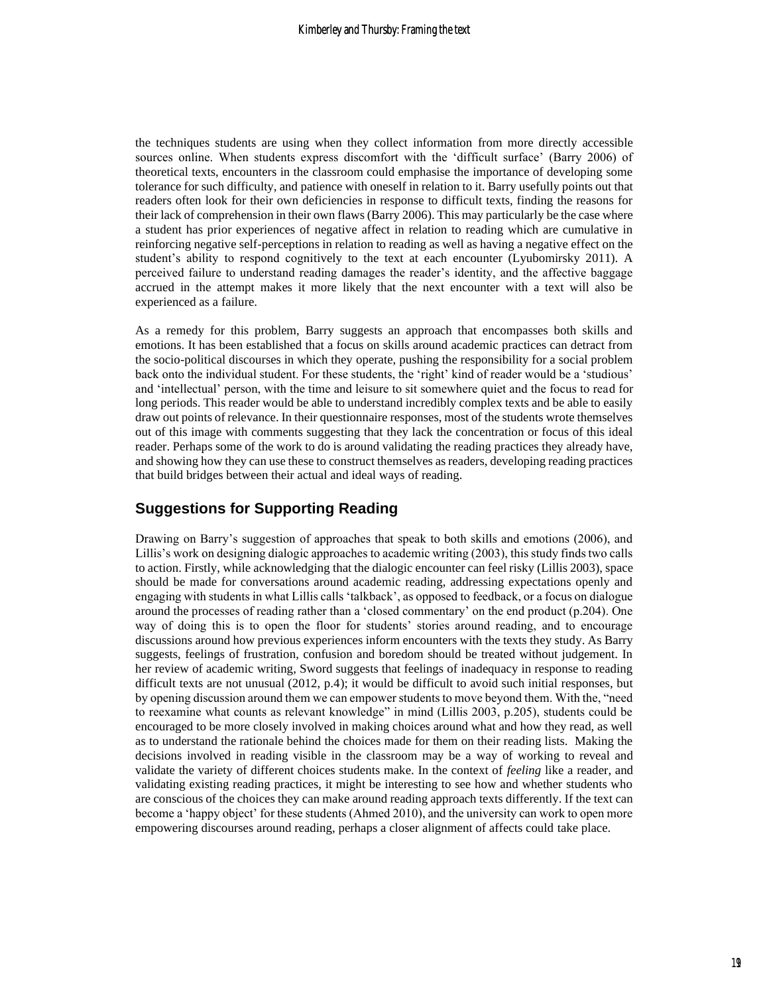the techniques students are using when they collect information from more directly accessible sources online. When students express discomfort with the 'difficult surface' (Barry 2006) of theoretical texts, encounters in the classroom could emphasise the importance of developing some tolerance for such difficulty, and patience with oneself in relation to it. Barry usefully points out that readers often look for their own deficiencies in response to difficult texts, finding the reasons for their lack of comprehension in their own flaws (Barry 2006). This may particularly be the case where a student has prior experiences of negative affect in relation to reading which are cumulative in reinforcing negative self-perceptions in relation to reading as well as having a negative effect on the student's ability to respond cognitively to the text at each encounter (Lyubomirsky 2011). A perceived failure to understand reading damages the reader's identity, and the affective baggage accrued in the attempt makes it more likely that the next encounter with a text will also be experienced as a failure.

As a remedy for this problem, Barry suggests an approach that encompasses both skills and emotions. It has been established that a focus on skills around academic practices can detract from the socio-political discourses in which they operate, pushing the responsibility for a social problem back onto the individual student. For these students, the 'right' kind of reader would be a 'studious' and 'intellectual' person, with the time and leisure to sit somewhere quiet and the focus to read for long periods. This reader would be able to understand incredibly complex texts and be able to easily draw out points of relevance. In their questionnaire responses, most of the students wrote themselves out of this image with comments suggesting that they lack the concentration or focus of this ideal reader. Perhaps some of the work to do is around validating the reading practices they already have, and showing how they can use these to construct themselves as readers, developing reading practices that build bridges between their actual and ideal ways of reading.

### **Suggestions for Supporting Reading**

Drawing on Barry's suggestion of approaches that speak to both skills and emotions (2006), and Lillis's work on designing dialogic approaches to academic writing (2003), this study finds two calls to action. Firstly, while acknowledging that the dialogic encounter can feel risky (Lillis 2003), space should be made for conversations around academic reading, addressing expectations openly and engaging with students in what Lillis calls 'talkback', as opposed to feedback, or a focus on dialogue around the processes of reading rather than a 'closed commentary' on the end product (p.204). One way of doing this is to open the floor for students' stories around reading, and to encourage discussions around how previous experiences inform encounters with the texts they study. As Barry suggests, feelings of frustration, confusion and boredom should be treated without judgement. In her review of academic writing, Sword suggests that feelings of inadequacy in response to reading difficult texts are not unusual (2012, p.4); it would be difficult to avoid such initial responses, but by opening discussion around them we can empower students to move beyond them. With the, "need to reexamine what counts as relevant knowledge" in mind (Lillis 2003, p.205), students could be encouraged to be more closely involved in making choices around what and how they read, as well as to understand the rationale behind the choices made for them on their reading lists. Making the decisions involved in reading visible in the classroom may be a way of working to reveal and validate the variety of different choices students make. In the context of *feeling* like a reader, and validating existing reading practices, it might be interesting to see how and whether students who are conscious of the choices they can make around reading approach texts differently. If the text can become a 'happy object' for these students (Ahmed 2010), and the university can work to open more empowering discourses around reading, perhaps a closer alignment of affects could take place.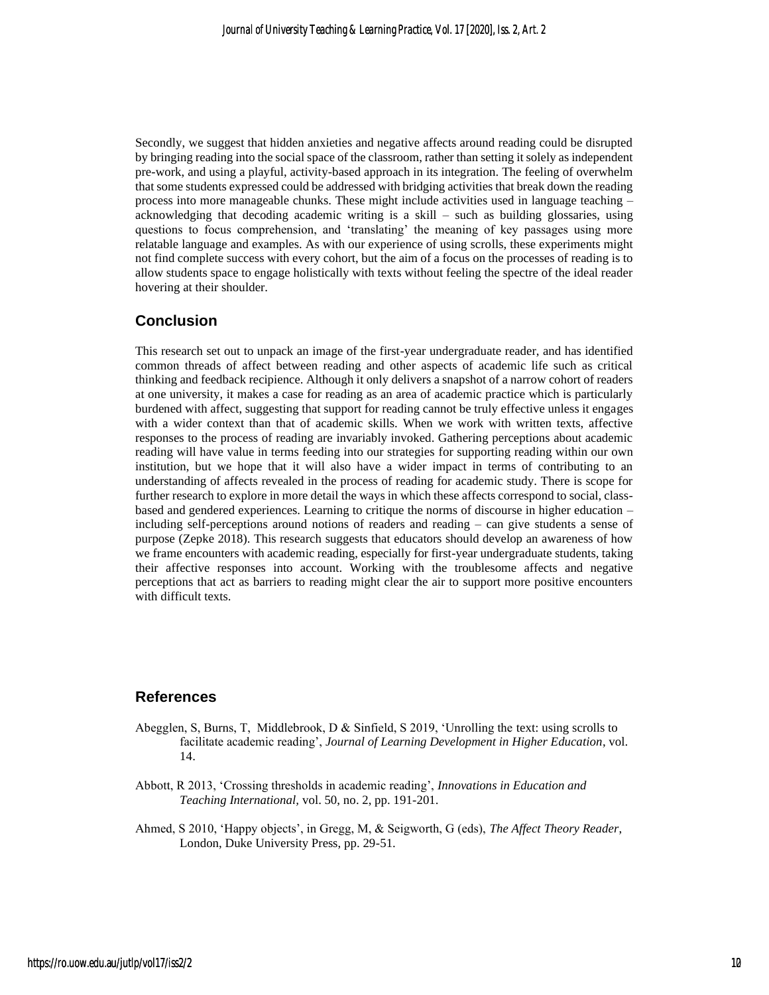Secondly, we suggest that hidden anxieties and negative affects around reading could be disrupted by bringing reading into the social space of the classroom, rather than setting it solely as independent pre-work, and using a playful, activity-based approach in its integration. The feeling of overwhelm that some students expressed could be addressed with bridging activities that break down the reading process into more manageable chunks. These might include activities used in language teaching – acknowledging that decoding academic writing is a skill – such as building glossaries, using questions to focus comprehension, and 'translating' the meaning of key passages using more relatable language and examples. As with our experience of using scrolls, these experiments might not find complete success with every cohort, but the aim of a focus on the processes of reading is to allow students space to engage holistically with texts without feeling the spectre of the ideal reader hovering at their shoulder.

#### **Conclusion**

This research set out to unpack an image of the first-year undergraduate reader, and has identified common threads of affect between reading and other aspects of academic life such as critical thinking and feedback recipience. Although it only delivers a snapshot of a narrow cohort of readers at one university, it makes a case for reading as an area of academic practice which is particularly burdened with affect, suggesting that support for reading cannot be truly effective unless it engages with a wider context than that of academic skills. When we work with written texts, affective responses to the process of reading are invariably invoked. Gathering perceptions about academic reading will have value in terms feeding into our strategies for supporting reading within our own institution, but we hope that it will also have a wider impact in terms of contributing to an understanding of affects revealed in the process of reading for academic study. There is scope for further research to explore in more detail the ways in which these affects correspond to social, classbased and gendered experiences. Learning to critique the norms of discourse in higher education – including self-perceptions around notions of readers and reading – can give students a sense of purpose (Zepke 2018). This research suggests that educators should develop an awareness of how we frame encounters with academic reading, especially for first-year undergraduate students, taking their affective responses into account. Working with the troublesome affects and negative perceptions that act as barriers to reading might clear the air to support more positive encounters with difficult texts.

#### **References**

- Abegglen, S, Burns, T, Middlebrook, D & Sinfield, S 2019, 'Unrolling the text: using scrolls to facilitate academic reading', *Journal of Learning Development in Higher Education*, vol. 14.
- Abbott, R 2013, 'Crossing thresholds in academic reading', *Innovations in Education and Teaching International,* vol. 50, no. 2, pp. 191-201.
- Ahmed, S 2010, 'Happy objects', in Gregg, M, & Seigworth, G (eds), *The Affect Theory Reader*, London, Duke University Press, pp. 29-51.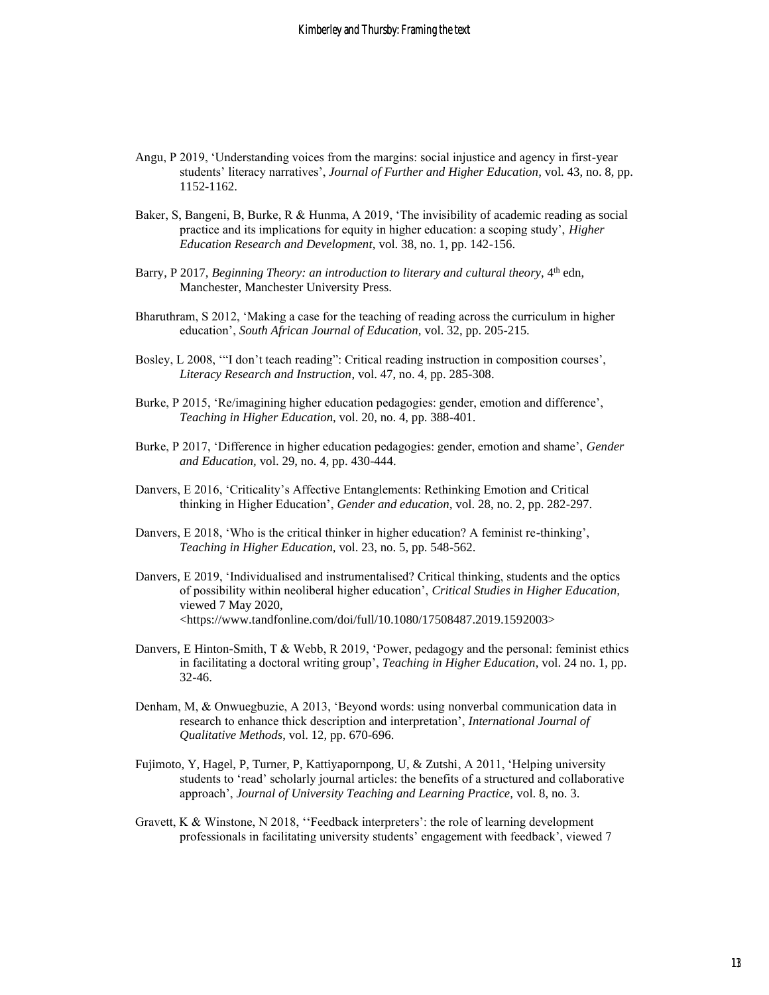- Angu, P 2019, 'Understanding voices from the margins: social injustice and agency in first-year students' literacy narratives', *Journal of Further and Higher Education,* vol. 43, no. 8, pp. 1152-1162.
- Baker, S, Bangeni, B, Burke, R & Hunma, A 2019, 'The invisibility of academic reading as social practice and its implications for equity in higher education: a scoping study', *Higher Education Research and Development,* vol. 38, no. 1, pp. 142-156.
- Barry, P 2017, *Beginning Theory: an introduction to literary and cultural theory*, 4<sup>th</sup> edn, Manchester, Manchester University Press.
- Bharuthram, S 2012, 'Making a case for the teaching of reading across the curriculum in higher education', *South African Journal of Education,* vol. 32, pp. 205-215.
- Bosley, L 2008, '"I don't teach reading": Critical reading instruction in composition courses', *Literacy Research and Instruction*, vol. 47, no. 4, pp. 285-308.
- Burke, P 2015, 'Re/imagining higher education pedagogies: gender, emotion and difference', *Teaching in Higher Education*, vol. 20, no. 4, pp. 388-401.
- Burke, P 2017, 'Difference in higher education pedagogies: gender, emotion and shame', *Gender and Education,* vol. 29, no. 4, pp. 430-444.
- Danvers, E 2016, 'Criticality's Affective Entanglements: Rethinking Emotion and Critical thinking in Higher Education', *Gender and education,* vol. 28, no. 2, pp. 282-297.
- Danvers, E 2018, 'Who is the critical thinker in higher education? A feminist re-thinking', *Teaching in Higher Education,* vol. 23, no. 5, pp. 548-562.
- Danvers, E 2019, 'Individualised and instrumentalised? Critical thinking, students and the optics of possibility within neoliberal higher education', *Critical Studies in Higher Education,*  viewed 7 May 2020, <https://www.tandfonline.com/doi/full/10.1080/17508487.2019.1592003>
- Danvers, E Hinton-Smith, T & Webb, R 2019, 'Power, pedagogy and the personal: feminist ethics in facilitating a doctoral writing group', *Teaching in Higher Education*, vol. 24 no. 1, pp. 32-46.
- Denham, M, & Onwuegbuzie, A 2013, 'Beyond words: using nonverbal communication data in research to enhance thick description and interpretation', *International Journal of Qualitative Methods*, vol. 12*,* pp. 670-696.
- Fujimoto, Y, Hagel, P, Turner, P, Kattiyapornpong, U, & Zutshi, A 2011, 'Helping university students to 'read' scholarly journal articles: the benefits of a structured and collaborative approach', *Journal of University Teaching and Learning Practice,* vol. 8, no. 3.
- Gravett, K & Winstone, N 2018, ''Feedback interpreters': the role of learning development professionals in facilitating university students' engagement with feedback', viewed 7